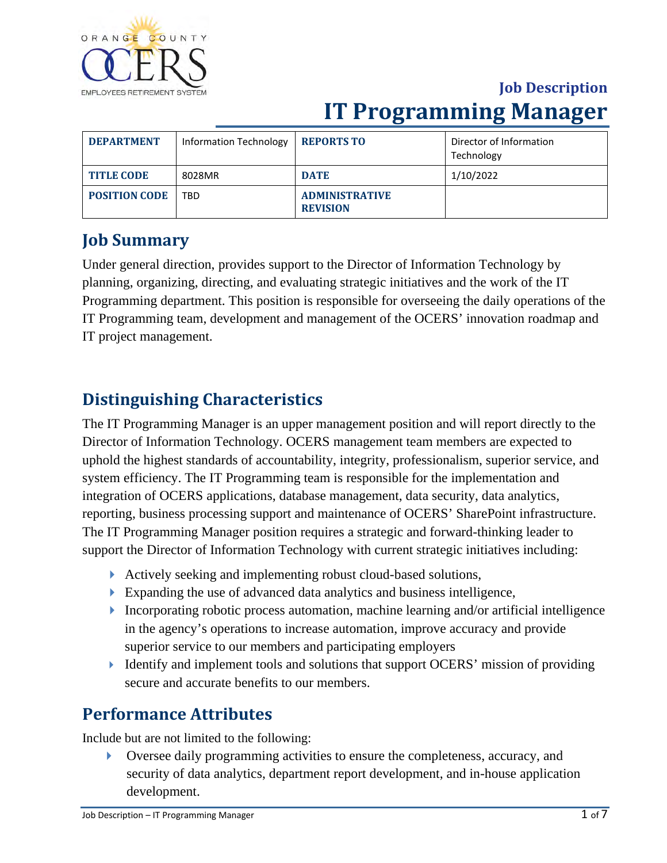

| <b>DEPARTMENT</b>    | Information Technology | <b>REPORTS TO</b>                        | Director of Information<br>Technology |
|----------------------|------------------------|------------------------------------------|---------------------------------------|
| <b>TITLE CODE</b>    | 8028MR                 | <b>DATE</b>                              | 1/10/2022                             |
| <b>POSITION CODE</b> | TBD.                   | <b>ADMINISTRATIVE</b><br><b>REVISION</b> |                                       |

### **Job Summary**

Under general direction, provides support to the Director of Information Technology by planning, organizing, directing, and evaluating strategic initiatives and the work of the IT Programming department. This position is responsible for overseeing the daily operations of the IT Programming team, development and management of the OCERS' innovation roadmap and IT project management.

### **Distinguishing Characteristics**

The IT Programming Manager is an upper management position and will report directly to the Director of Information Technology. OCERS management team members are expected to uphold the highest standards of accountability, integrity, professionalism, superior service, and system efficiency. The IT Programming team is responsible for the implementation and integration of OCERS applications, database management, data security, data analytics, reporting, business processing support and maintenance of OCERS' SharePoint infrastructure. The IT Programming Manager position requires a strategic and forward-thinking leader to support the Director of Information Technology with current strategic initiatives including:

- Actively seeking and implementing robust cloud-based solutions,
- Expanding the use of advanced data analytics and business intelligence,
- Incorporating robotic process automation, machine learning and/or artificial intelligence in the agency's operations to increase automation, improve accuracy and provide superior service to our members and participating employers
- Identify and implement tools and solutions that support OCERS' mission of providing secure and accurate benefits to our members.

### **Performance Attributes**

Include but are not limited to the following:

 Oversee daily programming activities to ensure the completeness, accuracy, and security of data analytics, department report development, and in-house application development.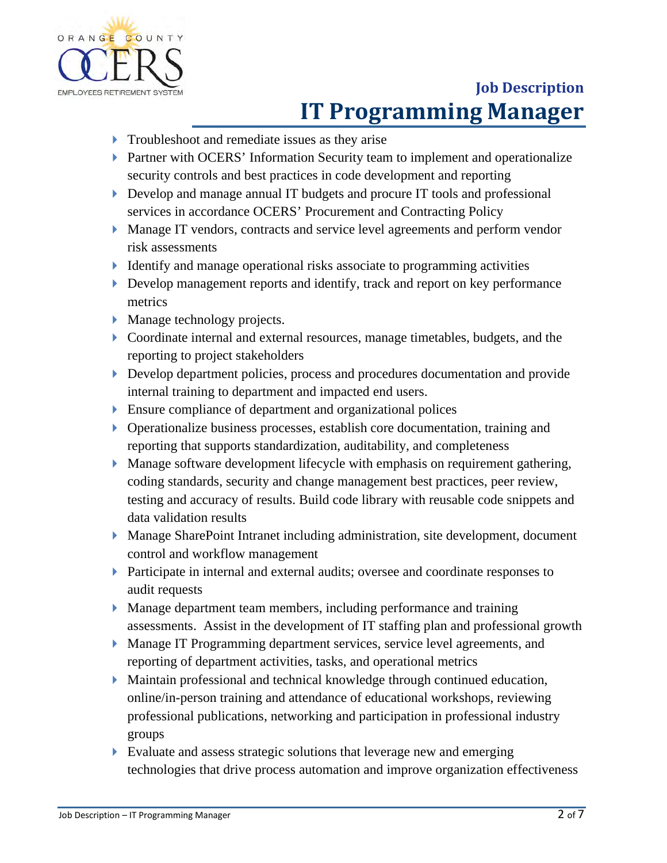

- **Troubleshoot and remediate issues as they arise**
- **Partner with OCERS' Information Security team to implement and operationalize** security controls and best practices in code development and reporting
- Develop and manage annual IT budgets and procure IT tools and professional services in accordance OCERS' Procurement and Contracting Policy
- Manage IT vendors, contracts and service level agreements and perform vendor risk assessments
- I dentify and manage operational risks associate to programming activities
- Develop management reports and identify, track and report on key performance metrics
- **Manage technology projects.**
- Coordinate internal and external resources, manage timetables, budgets, and the reporting to project stakeholders
- Develop department policies, process and procedures documentation and provide internal training to department and impacted end users.
- Ensure compliance of department and organizational polices
- Operationalize business processes, establish core documentation, training and reporting that supports standardization, auditability, and completeness
- Manage software development lifecycle with emphasis on requirement gathering, coding standards, security and change management best practices, peer review, testing and accuracy of results. Build code library with reusable code snippets and data validation results
- Manage SharePoint Intranet including administration, site development, document control and workflow management
- Participate in internal and external audits; oversee and coordinate responses to audit requests
- Manage department team members, including performance and training assessments. Assist in the development of IT staffing plan and professional growth
- Manage IT Programming department services, service level agreements, and reporting of department activities, tasks, and operational metrics
- Maintain professional and technical knowledge through continued education, online/in-person training and attendance of educational workshops, reviewing professional publications, networking and participation in professional industry groups
- Evaluate and assess strategic solutions that leverage new and emerging technologies that drive process automation and improve organization effectiveness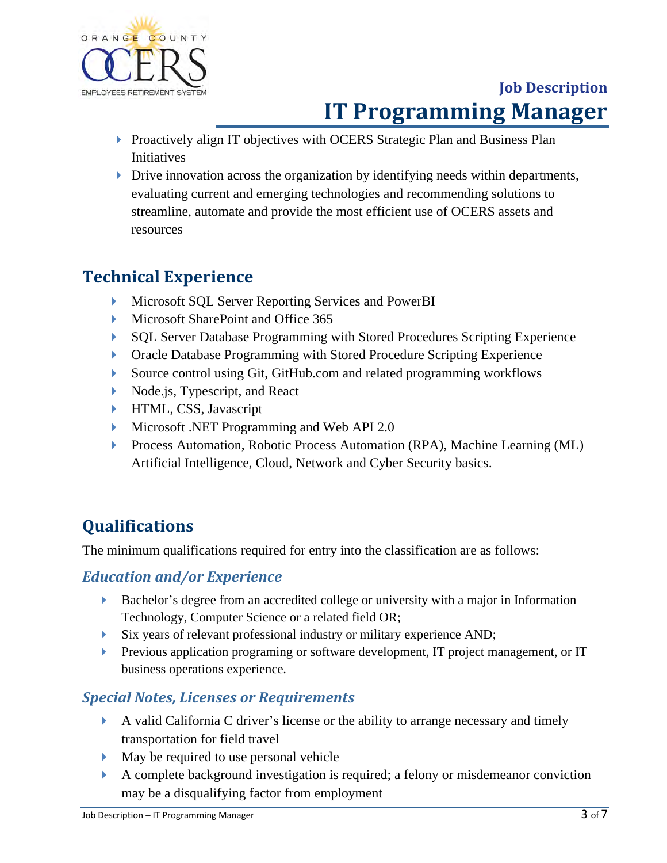

- **Proactively align IT objectives with OCERS Strategic Plan and Business Plan** Initiatives
- $\triangleright$  Drive innovation across the organization by identifying needs within departments, evaluating current and emerging technologies and recommending solutions to streamline, automate and provide the most efficient use of OCERS assets and resources

### **Technical Experience**

- **Microsoft SQL Server Reporting Services and PowerBI**
- Microsoft SharePoint and Office 365
- SQL Server Database Programming with Stored Procedures Scripting Experience
- **Dracle Database Programming with Stored Procedure Scripting Experience**
- Source control using Git, GitHub.com and related programming workflows
- Node.js, Typescript, and React
- **HTML, CSS, Javascript**
- Microsoft .NET Programming and Web API 2.0
- **Process Automation, Robotic Process Automation (RPA), Machine Learning (ML)** Artificial Intelligence, Cloud, Network and Cyber Security basics.

## **Qualifications**

The minimum qualifications required for entry into the classification are as follows:

### *Education and/or Experience*

- Bachelor's degree from an accredited college or university with a major in Information Technology, Computer Science or a related field OR;
- Six years of relevant professional industry or military experience AND;
- **Previous application programing or software development, IT project management, or IT** business operations experience.

### *Special Notes, Licenses or Requirements*

- A valid California C driver's license or the ability to arrange necessary and timely transportation for field travel
- May be required to use personal vehicle
- A complete background investigation is required; a felony or misdemeanor conviction may be a disqualifying factor from employment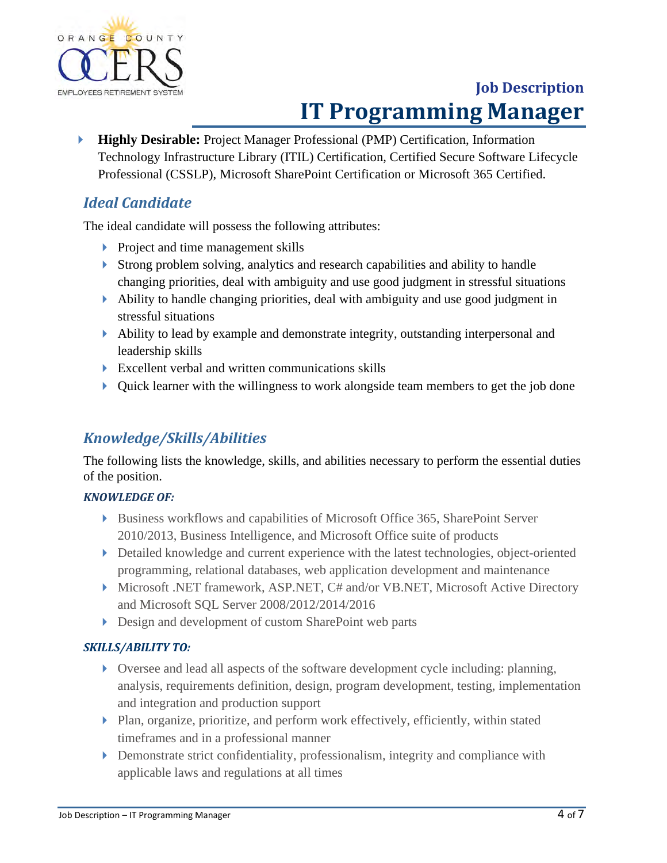

 **Highly Desirable:** Project Manager Professional (PMP) Certification, Information Technology Infrastructure Library (ITIL) Certification, Certified Secure Software Lifecycle Professional (CSSLP), Microsoft SharePoint Certification or Microsoft 365 Certified.

### *Ideal Candidate*

The ideal candidate will possess the following attributes:

- **Project and time management skills**
- Strong problem solving, analytics and research capabilities and ability to handle changing priorities, deal with ambiguity and use good judgment in stressful situations
- Ability to handle changing priorities, deal with ambiguity and use good judgment in stressful situations
- Ability to lead by example and demonstrate integrity, outstanding interpersonal and leadership skills
- $\triangleright$  Excellent verbal and written communications skills
- $\triangleright$  Ouick learner with the willingness to work alongside team members to get the job done

#### *Knowledge/Skills/Abilities*

The following lists the knowledge, skills, and abilities necessary to perform the essential duties of the position.

#### *KNOWLEDGE OF:*

- Business workflows and capabilities of Microsoft Office 365, SharePoint Server 2010/2013, Business Intelligence, and Microsoft Office suite of products
- Detailed knowledge and current experience with the latest technologies, object-oriented programming, relational databases, web application development and maintenance
- Microsoft .NET framework, ASP.NET, C# and/or VB.NET, Microsoft Active Directory and Microsoft SQL Server 2008/2012/2014/2016
- Design and development of custom SharePoint web parts

#### *SKILLS/ABILITY TO:*

- Oversee and lead all aspects of the software development cycle including: planning, analysis, requirements definition, design, program development, testing, implementation and integration and production support
- Plan, organize, prioritize, and perform work effectively, efficiently, within stated timeframes and in a professional manner
- Demonstrate strict confidentiality, professionalism, integrity and compliance with applicable laws and regulations at all times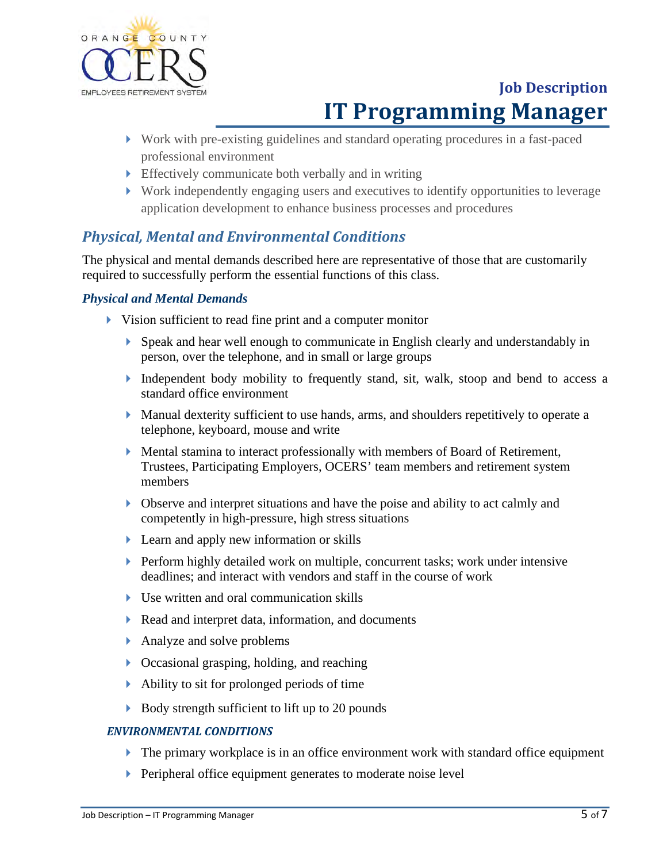

- Work with pre-existing guidelines and standard operating procedures in a fast-paced professional environment
- Effectively communicate both verbally and in writing
- Work independently engaging users and executives to identify opportunities to leverage application development to enhance business processes and procedures

#### *Physical, Mental and Environmental Conditions*

The physical and mental demands described here are representative of those that are customarily required to successfully perform the essential functions of this class.

#### *Physical and Mental Demands*

- Vision sufficient to read fine print and a computer monitor
	- Speak and hear well enough to communicate in English clearly and understandably in person, over the telephone, and in small or large groups
	- Independent body mobility to frequently stand, sit, walk, stoop and bend to access a standard office environment
	- $\blacktriangleright$  Manual dexterity sufficient to use hands, arms, and shoulders repetitively to operate a telephone, keyboard, mouse and write
	- Mental stamina to interact professionally with members of Board of Retirement, Trustees, Participating Employers, OCERS' team members and retirement system members
	- Observe and interpret situations and have the poise and ability to act calmly and competently in high-pressure, high stress situations
	- Learn and apply new information or skills
	- Perform highly detailed work on multiple, concurrent tasks; work under intensive deadlines; and interact with vendors and staff in the course of work
	- Use written and oral communication skills
	- Read and interpret data, information, and documents
	- Analyze and solve problems
	- Occasional grasping, holding, and reaching
	- Ability to sit for prolonged periods of time
	- Body strength sufficient to lift up to 20 pounds

#### *ENVIRONMENTAL CONDITIONS*

- The primary workplace is in an office environment work with standard office equipment
- **Peripheral office equipment generates to moderate noise level**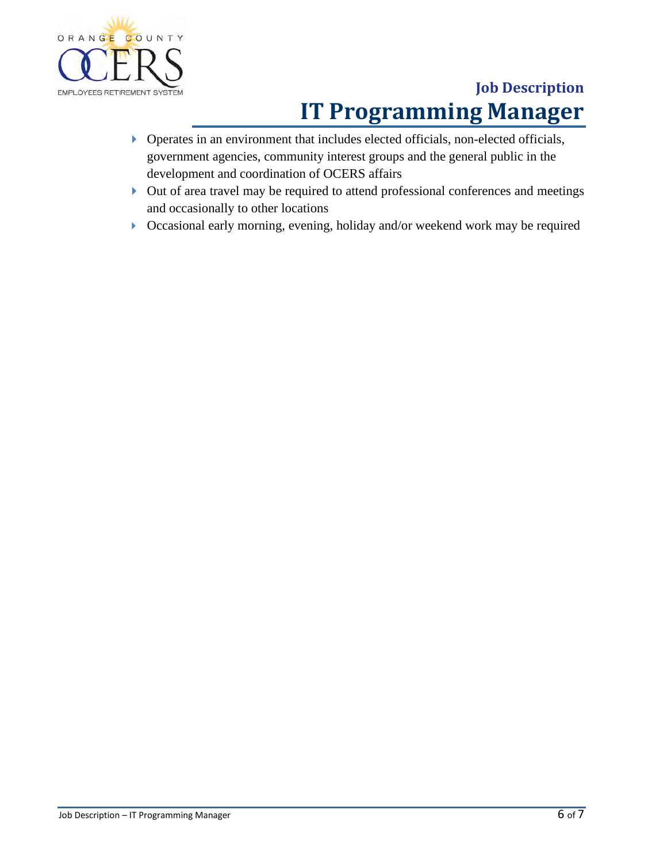

- Operates in an environment that includes elected officials, non-elected officials, government agencies, community interest groups and the general public in the development and coordination of OCERS affairs
- Out of area travel may be required to attend professional conferences and meetings and occasionally to other locations
- Occasional early morning, evening, holiday and/or weekend work may be required